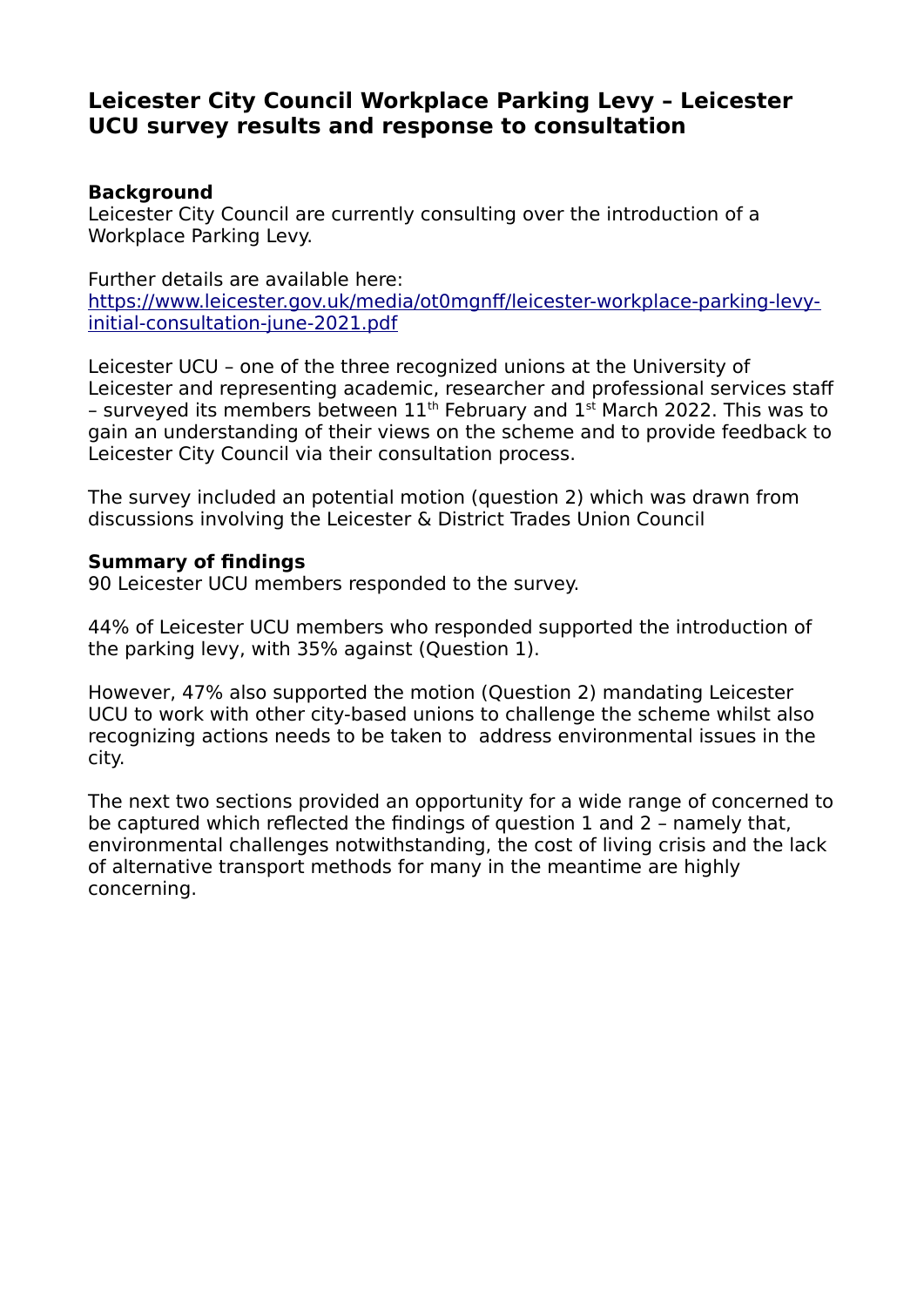# **Leicester City Council Workplace Parking Levy – Leicester UCU survey results and response to consultation**

## **Background**

Leicester City Council are currently consulting over the introduction of a Workplace Parking Levy.

Further details are available here: [https://www.leicester.gov.uk/media/ot0mgnff/leicester-workplace-parking-levy](https://www.leicester.gov.uk/media/ot0mgnff/leicester-workplace-parking-levy-initial-consultation-june-2021.pdf)[initial-consultation-june-2021.pdf](https://www.leicester.gov.uk/media/ot0mgnff/leicester-workplace-parking-levy-initial-consultation-june-2021.pdf)

Leicester UCU – one of the three recognized unions at the University of Leicester and representing academic, researcher and professional services staff – surveyed its members between  $11<sup>th</sup>$  February and  $1<sup>st</sup>$  March 2022. This was to gain an understanding of their views on the scheme and to provide feedback to Leicester City Council via their consultation process.

The survey included an potential motion (question 2) which was drawn from discussions involving the Leicester & District Trades Union Council

# **Summary of findings**

90 Leicester UCU members responded to the survey.

44% of Leicester UCU members who responded supported the introduction of the parking levy, with 35% against (Question 1).

However, 47% also supported the motion (Question 2) mandating Leicester UCU to work with other city-based unions to challenge the scheme whilst also recognizing actions needs to be taken to address environmental issues in the city.

The next two sections provided an opportunity for a wide range of concerned to be captured which reflected the findings of question 1 and 2 – namely that, environmental challenges notwithstanding, the cost of living crisis and the lack of alternative transport methods for many in the meantime are highly concerning.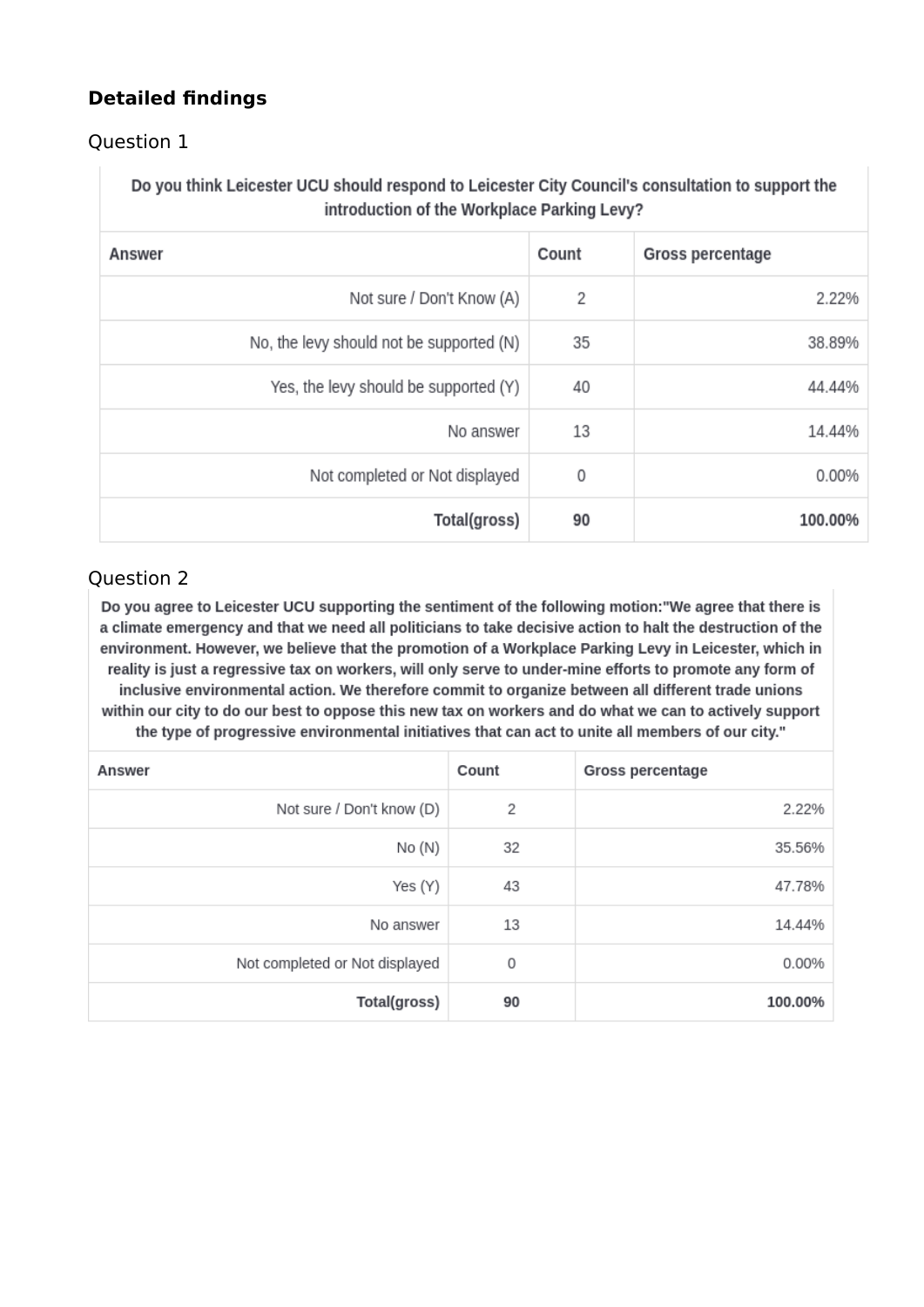# **Detailed findings**

# Question 1

Do you think Leicester UCU should respond to Leicester City Council's consultation to support the introduction of the Workplace Parking Levy?

| Answer                                   | Count | <b>Gross percentage</b> |
|------------------------------------------|-------|-------------------------|
| Not sure / Don't Know (A)                | 2     | 2.22%                   |
| No, the levy should not be supported (N) | 35    | 38.89%                  |
| Yes, the levy should be supported (Y)    | 40    | 44.44%                  |
| No answer                                | 13    | 14.44%                  |
| Not completed or Not displayed           | 0     | 0.00%                   |
| Total(gross)                             | 90    | 100.00%                 |

# Question 2

Do you agree to Leicester UCU supporting the sentiment of the following motion: "We agree that there is a climate emergency and that we need all politicians to take decisive action to halt the destruction of the environment. However, we believe that the promotion of a Workplace Parking Levy in Leicester, which in reality is just a regressive tax on workers, will only serve to under-mine efforts to promote any form of inclusive environmental action. We therefore commit to organize between all different trade unions within our city to do our best to oppose this new tax on workers and do what we can to actively support the type of progressive environmental initiatives that can act to unite all members of our city."

| Answer                         | Count | <b>Gross percentage</b> |
|--------------------------------|-------|-------------------------|
| Not sure / Don't know (D)      | 2     | 2.22%                   |
| No (N)                         | 32    | 35.56%                  |
| Yes (Y)                        | 43    | 47.78%                  |
| No answer                      | 13    | 14.44%                  |
| Not completed or Not displayed | 0     | 0.00%                   |
| Total(gross)                   | 90    | 100.00%                 |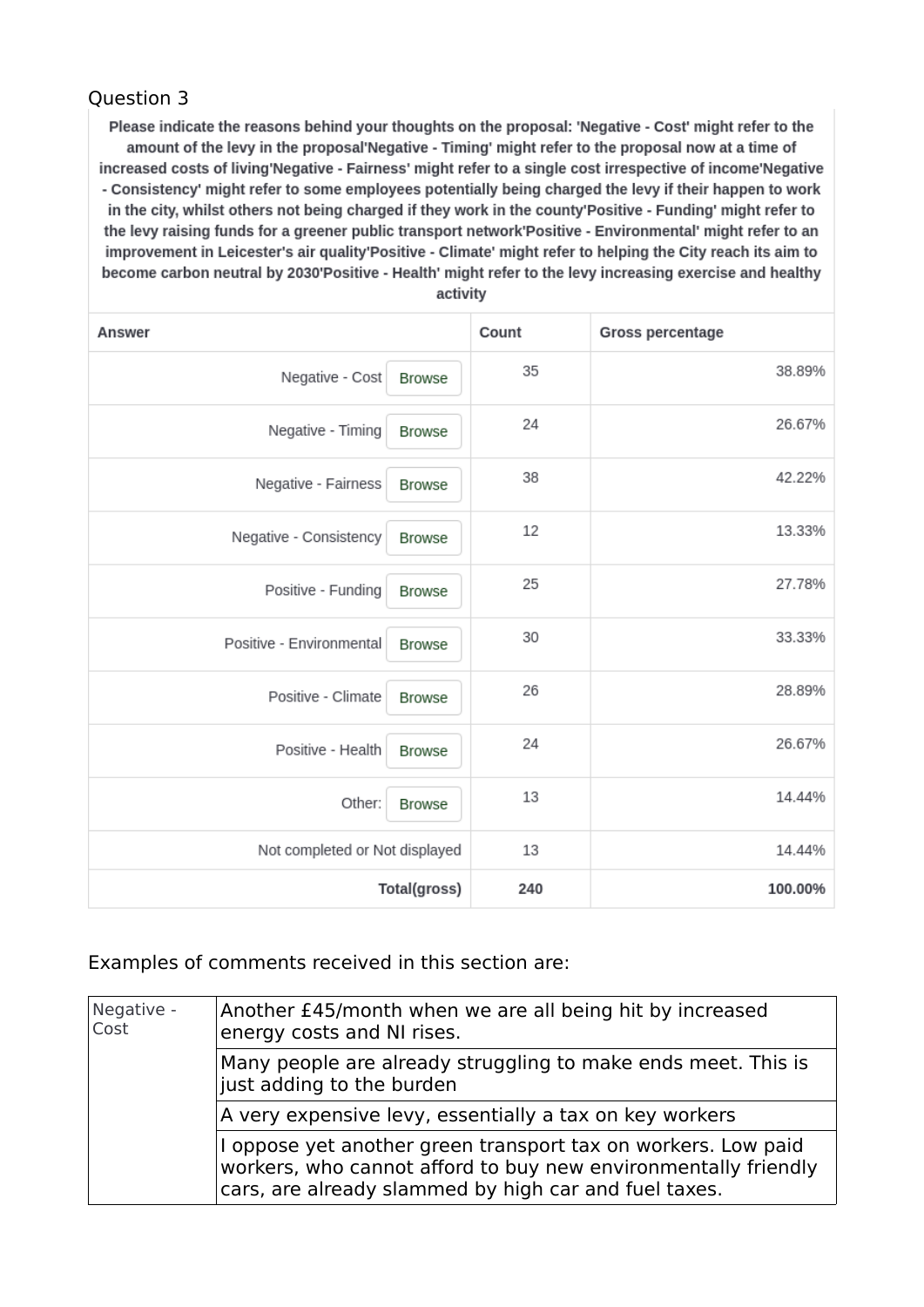## Question 3

Please indicate the reasons behind your thoughts on the proposal: 'Negative - Cost' might refer to the amount of the levy in the proposal'Negative - Timing' might refer to the proposal now at a time of increased costs of living'Negative - Fairness' might refer to a single cost irrespective of income'Negative - Consistency' might refer to some employees potentially being charged the levy if their happen to work in the city, whilst others not being charged if they work in the county'Positive - Funding' might refer to the levy raising funds for a greener public transport network'Positive - Environmental' might refer to an improvement in Leicester's air quality'Positive - Climate' might refer to helping the City reach its aim to become carbon neutral by 2030'Positive - Health' might refer to the levy increasing exercise and healthy

| Answer                                    | Count | <b>Gross percentage</b> |
|-------------------------------------------|-------|-------------------------|
| Negative - Cost<br><b>Browse</b>          | 35    | 38.89%                  |
| Negative - Timing<br><b>Browse</b>        | 24    | 26.67%                  |
| Negative - Fairness<br><b>Browse</b>      | 38    | 42.22%                  |
| Negative - Consistency<br><b>Browse</b>   | 12    | 13.33%                  |
| Positive - Funding<br><b>Browse</b>       | 25    | 27.78%                  |
| Positive - Environmental<br><b>Browse</b> | 30    | 33.33%                  |
| Positive - Climate<br><b>Browse</b>       | 26    | 28.89%                  |
| Positive - Health<br><b>Browse</b>        | 24    | 26.67%                  |
| Other:<br><b>Browse</b>                   | 13    | 14.44%                  |
| Not completed or Not displayed            | 13    | 14.44%                  |
| Total(gross)                              | 240   | 100.00%                 |

activity

### Examples of comments received in this section are:

| Negative -<br>Cost | Another £45/month when we are all being hit by increased<br>energy costs and NI rises.                                                                                                   |
|--------------------|------------------------------------------------------------------------------------------------------------------------------------------------------------------------------------------|
|                    | Many people are already struggling to make ends meet. This is<br>just adding to the burden                                                                                               |
|                    | A very expensive levy, essentially a tax on key workers                                                                                                                                  |
|                    | I oppose yet another green transport tax on workers. Low paid<br>workers, who cannot afford to buy new environmentally friendly<br>cars, are already slammed by high car and fuel taxes. |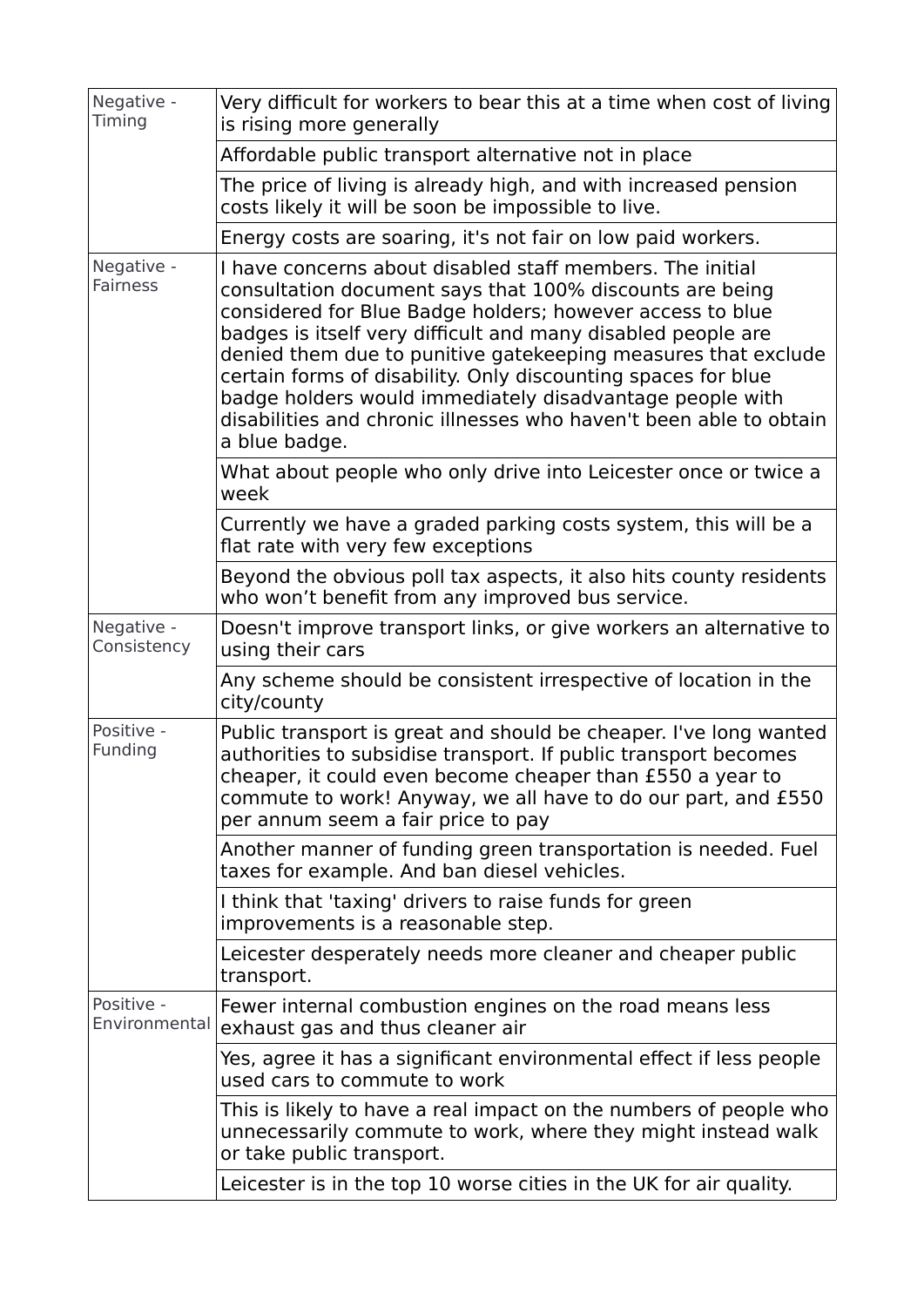| Negative -<br>Timing          | Very difficult for workers to bear this at a time when cost of living<br>is rising more generally                                                                                                                                                                                                                                                                                                                                                                                                                                       |
|-------------------------------|-----------------------------------------------------------------------------------------------------------------------------------------------------------------------------------------------------------------------------------------------------------------------------------------------------------------------------------------------------------------------------------------------------------------------------------------------------------------------------------------------------------------------------------------|
|                               | Affordable public transport alternative not in place                                                                                                                                                                                                                                                                                                                                                                                                                                                                                    |
|                               | The price of living is already high, and with increased pension<br>costs likely it will be soon be impossible to live.                                                                                                                                                                                                                                                                                                                                                                                                                  |
|                               | Energy costs are soaring, it's not fair on low paid workers.                                                                                                                                                                                                                                                                                                                                                                                                                                                                            |
| Negative -<br><b>Fairness</b> | I have concerns about disabled staff members. The initial<br>consultation document says that 100% discounts are being<br>considered for Blue Badge holders; however access to blue<br>badges is itself very difficult and many disabled people are<br>denied them due to punitive gatekeeping measures that exclude<br>certain forms of disability. Only discounting spaces for blue<br>badge holders would immediately disadvantage people with<br>disabilities and chronic illnesses who haven't been able to obtain<br>a blue badge. |
|                               | What about people who only drive into Leicester once or twice a<br>week                                                                                                                                                                                                                                                                                                                                                                                                                                                                 |
|                               | Currently we have a graded parking costs system, this will be a<br>flat rate with very few exceptions                                                                                                                                                                                                                                                                                                                                                                                                                                   |
|                               | Beyond the obvious poll tax aspects, it also hits county residents<br>who won't benefit from any improved bus service.                                                                                                                                                                                                                                                                                                                                                                                                                  |
| Negative -<br>Consistency     | Doesn't improve transport links, or give workers an alternative to<br>using their cars                                                                                                                                                                                                                                                                                                                                                                                                                                                  |
|                               | Any scheme should be consistent irrespective of location in the<br>city/county                                                                                                                                                                                                                                                                                                                                                                                                                                                          |
| Positive -<br>Funding         | Public transport is great and should be cheaper. I've long wanted<br>authorities to subsidise transport. If public transport becomes<br>cheaper, it could even become cheaper than £550 a year to<br>commute to work! Anyway, we all have to do our part, and £550<br>per annum seem a fair price to pay                                                                                                                                                                                                                                |
|                               | Another manner of funding green transportation is needed. Fuel<br>taxes for example. And ban diesel vehicles.                                                                                                                                                                                                                                                                                                                                                                                                                           |
|                               | I think that 'taxing' drivers to raise funds for green<br>improvements is a reasonable step.                                                                                                                                                                                                                                                                                                                                                                                                                                            |
|                               | Leicester desperately needs more cleaner and cheaper public<br>transport.                                                                                                                                                                                                                                                                                                                                                                                                                                                               |
| Positive -<br>Environmental   | Fewer internal combustion engines on the road means less<br>exhaust gas and thus cleaner air                                                                                                                                                                                                                                                                                                                                                                                                                                            |
|                               | Yes, agree it has a significant environmental effect if less people<br>used cars to commute to work                                                                                                                                                                                                                                                                                                                                                                                                                                     |
|                               | This is likely to have a real impact on the numbers of people who<br>unnecessarily commute to work, where they might instead walk<br>or take public transport.                                                                                                                                                                                                                                                                                                                                                                          |
|                               | Leicester is in the top 10 worse cities in the UK for air quality.                                                                                                                                                                                                                                                                                                                                                                                                                                                                      |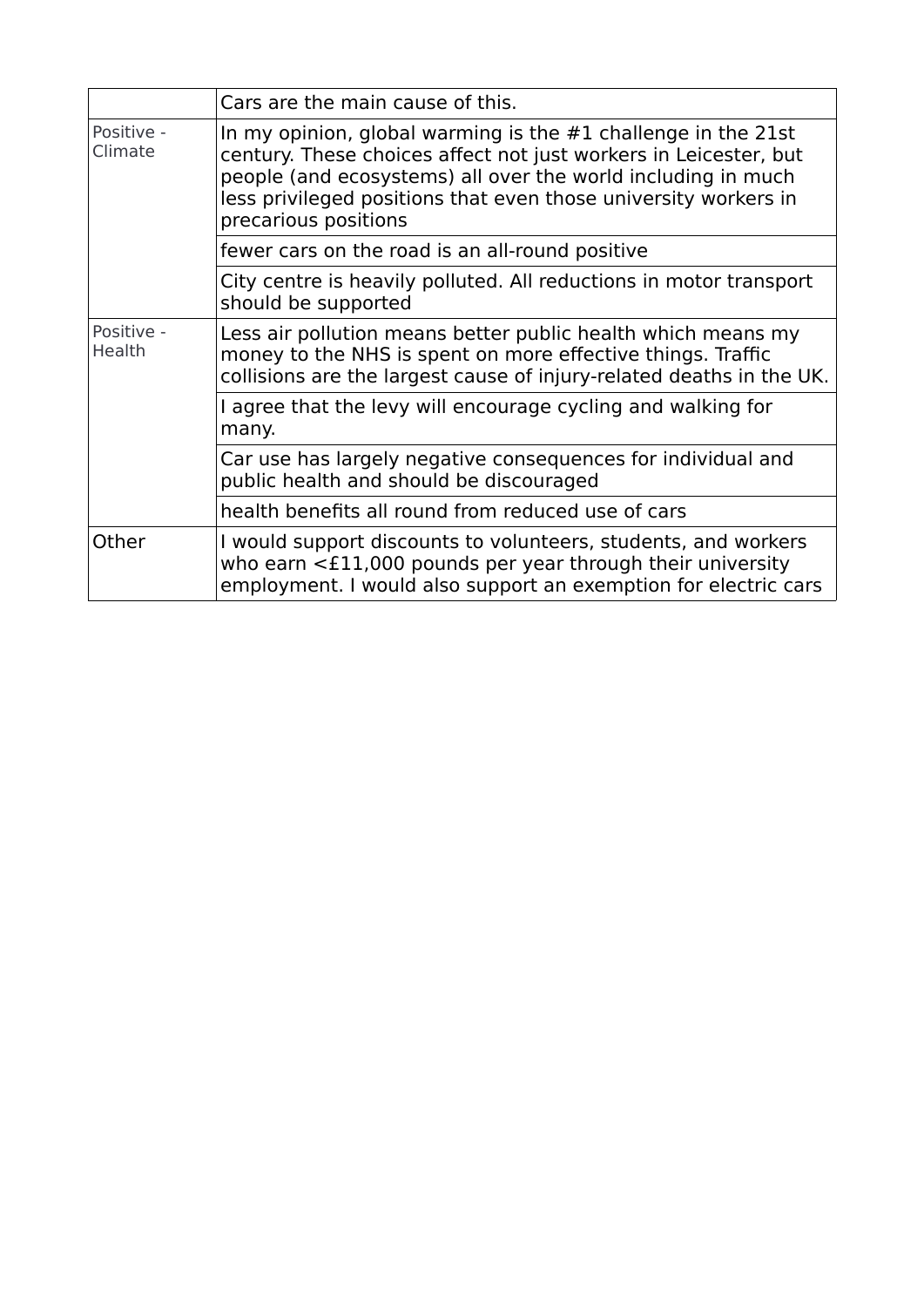|                       | Cars are the main cause of this.                                                                                                                                                                                                                                                               |
|-----------------------|------------------------------------------------------------------------------------------------------------------------------------------------------------------------------------------------------------------------------------------------------------------------------------------------|
| Positive -<br>Climate | In my opinion, global warming is the $#1$ challenge in the 21st<br>century. These choices affect not just workers in Leicester, but<br>people (and ecosystems) all over the world including in much<br>less privileged positions that even those university workers in<br>precarious positions |
|                       | fewer cars on the road is an all-round positive                                                                                                                                                                                                                                                |
|                       | City centre is heavily polluted. All reductions in motor transport<br>should be supported                                                                                                                                                                                                      |
| Positive -<br>Health  | Less air pollution means better public health which means my<br>money to the NHS is spent on more effective things. Traffic<br>collisions are the largest cause of injury-related deaths in the UK.                                                                                            |
|                       | I agree that the levy will encourage cycling and walking for<br>many.                                                                                                                                                                                                                          |
|                       | Car use has largely negative consequences for individual and<br>public health and should be discouraged                                                                                                                                                                                        |
|                       | health benefits all round from reduced use of cars                                                                                                                                                                                                                                             |
| Other                 | I would support discounts to volunteers, students, and workers<br>who earn $\leq$ £11,000 pounds per year through their university<br>employment. I would also support an exemption for electric cars                                                                                          |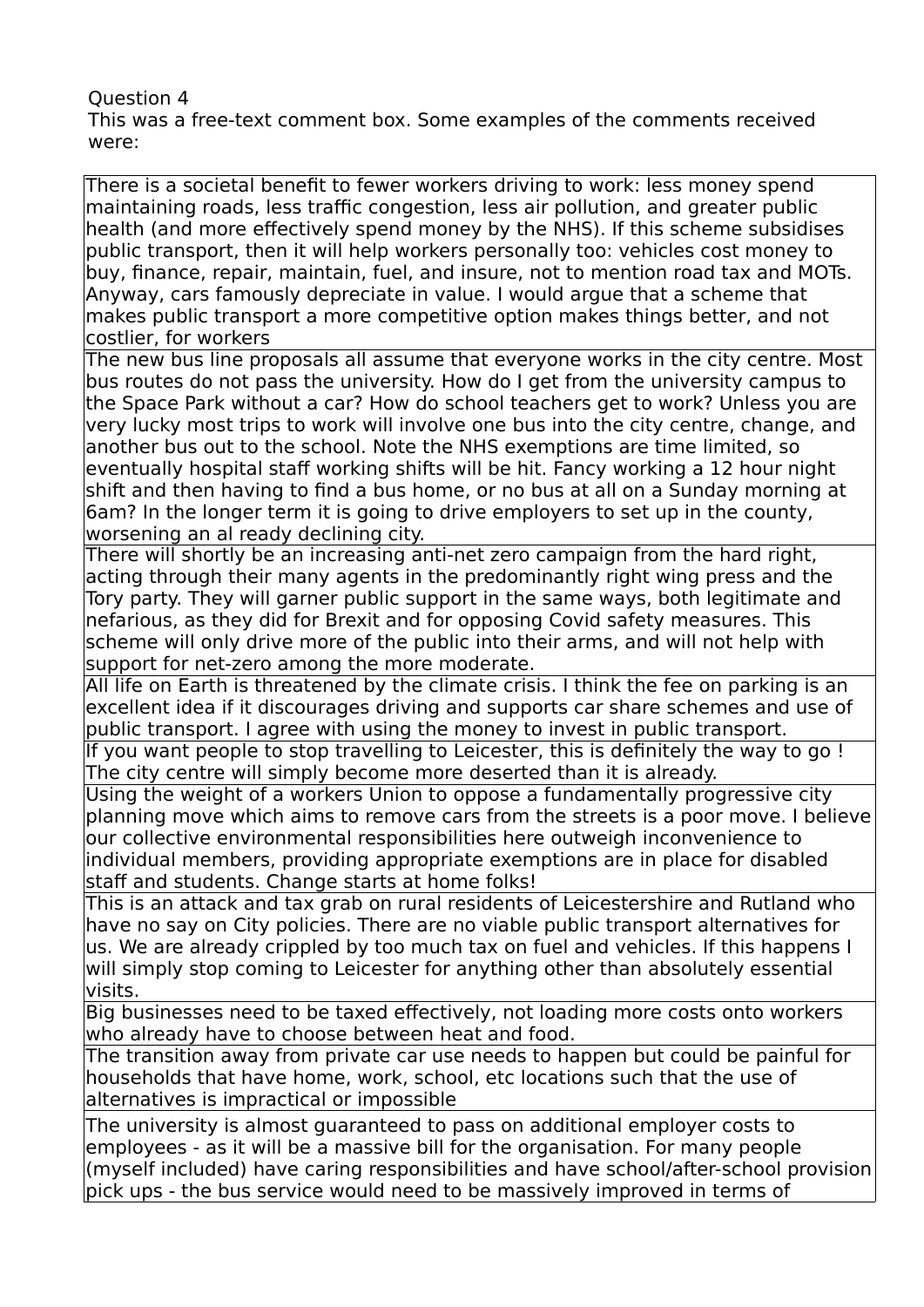#### Question 4 This was a free-text comment box. Some examples of the comments received were:

There is a societal benefit to fewer workers driving to work: less money spend maintaining roads, less traffic congestion, less air pollution, and greater public health (and more effectively spend money by the NHS). If this scheme subsidises public transport, then it will help workers personally too: vehicles cost money to buy, finance, repair, maintain, fuel, and insure, not to mention road tax and MOTs. Anyway, cars famously depreciate in value. I would argue that a scheme that makes public transport a more competitive option makes things better, and not costlier, for workers

The new bus line proposals all assume that everyone works in the city centre. Most bus routes do not pass the university. How do I get from the university campus to the Space Park without a car? How do school teachers get to work? Unless you are very lucky most trips to work will involve one bus into the city centre, change, and another bus out to the school. Note the NHS exemptions are time limited, so eventually hospital staff working shifts will be hit. Fancy working a 12 hour night shift and then having to find a bus home, or no bus at all on a Sunday morning at 6am? In the longer term it is going to drive employers to set up in the county, worsening an al ready declining city.

There will shortly be an increasing anti-net zero campaign from the hard right, acting through their many agents in the predominantly right wing press and the Tory party. They will garner public support in the same ways, both legitimate and nefarious, as they did for Brexit and for opposing Covid safety measures. This scheme will only drive more of the public into their arms, and will not help with support for net-zero among the more moderate.

All life on Earth is threatened by the climate crisis. I think the fee on parking is an excellent idea if it discourages driving and supports car share schemes and use of public transport. I agree with using the money to invest in public transport.

If you want people to stop travelling to Leicester, this is definitely the way to go ! The city centre will simply become more deserted than it is already.

Using the weight of a workers Union to oppose a fundamentally progressive city planning move which aims to remove cars from the streets is a poor move. I believe our collective environmental responsibilities here outweigh inconvenience to individual members, providing appropriate exemptions are in place for disabled staff and students. Change starts at home folks!

This is an attack and tax grab on rural residents of Leicestershire and Rutland who have no say on City policies. There are no viable public transport alternatives for us. We are already crippled by too much tax on fuel and vehicles. If this happens I will simply stop coming to Leicester for anything other than absolutely essential visits.

Big businesses need to be taxed effectively, not loading more costs onto workers who already have to choose between heat and food.

The transition away from private car use needs to happen but could be painful for households that have home, work, school, etc locations such that the use of alternatives is impractical or impossible

The university is almost guaranteed to pass on additional employer costs to employees - as it will be a massive bill for the organisation. For many people (myself included) have caring responsibilities and have school/after-school provision pick ups - the bus service would need to be massively improved in terms of